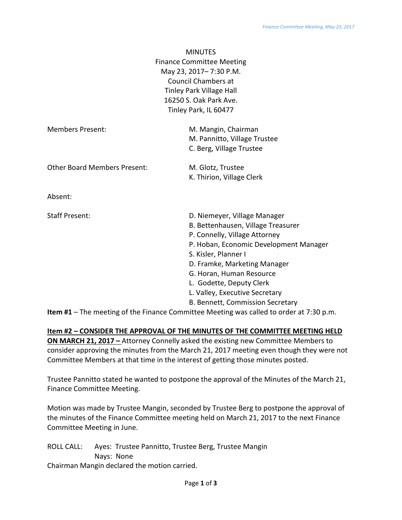|                                     | <b>MINUTES</b>                         |
|-------------------------------------|----------------------------------------|
|                                     | <b>Finance Committee Meeting</b>       |
|                                     | May 23, 2017-7:30 P.M.                 |
|                                     | <b>Council Chambers at</b>             |
|                                     | <b>Tinley Park Village Hall</b>        |
|                                     | 16250 S. Oak Park Ave.                 |
|                                     | Tinley Park, IL 60477                  |
| <b>Members Present:</b>             | M. Mangin, Chairman                    |
|                                     | M. Pannitto, Village Trustee           |
|                                     | C. Berg, Village Trustee               |
| <b>Other Board Members Present:</b> | M. Glotz, Trustee                      |
|                                     | K. Thirion, Village Clerk              |
| Absent:                             |                                        |
| <b>Staff Present:</b>               | D. Niemeyer, Village Manager           |
|                                     | B. Bettenhausen, Village Treasurer     |
|                                     | P. Connelly, Village Attorney          |
|                                     | P. Hoban, Economic Development Manager |
|                                     | S. Kisler, Planner I                   |
|                                     | D. Framke, Marketing Manager           |
|                                     | G. Horan, Human Resource               |
|                                     | L. Godette, Deputy Clerk               |
|                                     | L. Valley, Executive Secretary         |
|                                     | B. Bennett, Commission Secretary       |

**Item #1** – The meeting of the Finance Committee Meeting was called to order at 7:30 p.m.

**Item #2 – CONSIDER THE APPROVAL OF THE MINUTES OF THE COMMITTEE MEETING HELD ON MARCH 21, 2017 –** Attorney Connelly asked the existing new Committee Members to consider approving the minutes from the March 21, 2017 meeting even though they were not Committee Members at that time in the interest of getting those minutes posted.

Trustee Pannitto stated he wanted to postpone the approval of the Minutes of the March 21, Finance Committee Meeting.

Motion was made by Trustee Mangin, seconded by Trustee Berg to postpone the approval of the minutes of the Finance Committee meeting held on March 21, 2017 to the next Finance Committee Meeting in June.

| ROLL CALL: | Ayes: Trustee Pannitto, Trustee Berg, Trustee Mangin |
|------------|------------------------------------------------------|
|            | Navs: None                                           |
|            | Chairman Mangin declared the motion carried.         |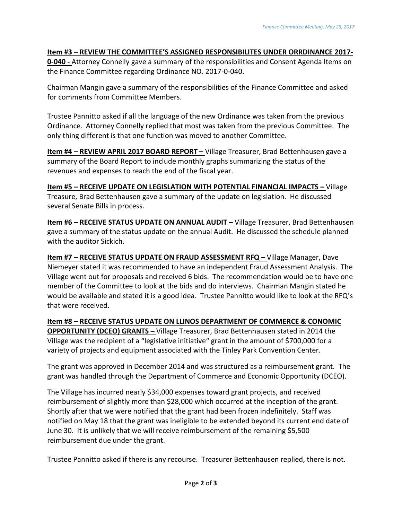## **Item #3 – REVIEW THE COMMITTEE'S ASSIGNED RESPONSIBILITES UNDER ORRDINANCE 2017-**

**0-040 -** Attorney Connelly gave a summary of the responsibilities and Consent Agenda Items on the Finance Committee regarding Ordinance NO. 2017-0-040.

Chairman Mangin gave a summary of the responsibilities of the Finance Committee and asked for comments from Committee Members.

Trustee Pannitto asked if all the language of the new Ordinance was taken from the previous Ordinance. Attorney Connelly replied that most was taken from the previous Committee. The only thing different is that one function was moved to another Committee.

**Item #4 – REVIEW APRIL 2017 BOARD REPORT –** Village Treasurer, Brad Bettenhausen gave a summary of the Board Report to include monthly graphs summarizing the status of the revenues and expenses to reach the end of the fiscal year.

**Item #5 – RECEIVE UPDATE ON LEGISLATION WITH POTENTIAL FINANCIAL IMPACTS –** Village Treasure, Brad Bettenhausen gave a summary of the update on legislation. He discussed several Senate Bills in process.

**Item #6 – RECEIVE STATUS UPDATE ON ANNUAL AUDIT –** Village Treasurer, Brad Bettenhausen gave a summary of the status update on the annual Audit. He discussed the schedule planned with the auditor Sickich.

**Item #7 – RECEIVE STATUS UPDATE ON FRAUD ASSESSMENT RFQ –** Village Manager, Dave Niemeyer stated it was recommended to have an independent Fraud Assessment Analysis. The Village went out for proposals and received 6 bids. The recommendation would be to have one member of the Committee to look at the bids and do interviews. Chairman Mangin stated he would be available and stated it is a good idea. Trustee Pannitto would like to look at the RFQ's that were received.

**Item #8 – RECEIVE STATUS UPDATE ON LLINOS DEPARTMENT OF COMMERCE & CONOMIC OPPORTUNITY (DCEO) GRANTS –** Village Treasurer, Brad Bettenhausen stated in 2014 the Village was the recipient of a "legislative initiative" grant in the amount of \$700,000 for a variety of projects and equipment associated with the Tinley Park Convention Center.

The grant was approved in December 2014 and was structured as a reimbursement grant. The grant was handled through the Department of Commerce and Economic Opportunity (DCEO).

The Village has incurred nearly \$34,000 expenses toward grant projects, and received reimbursement of slightly more than \$28,000 which occurred at the inception of the grant. Shortly after that we were notified that the grant had been frozen indefinitely. Staff was notified on May 18 that the grant was ineligible to be extended beyond its current end date of June 30. It is unlikely that we will receive reimbursement of the remaining \$5,500 reimbursement due under the grant.

Trustee Pannitto asked if there is any recourse. Treasurer Bettenhausen replied, there is not.